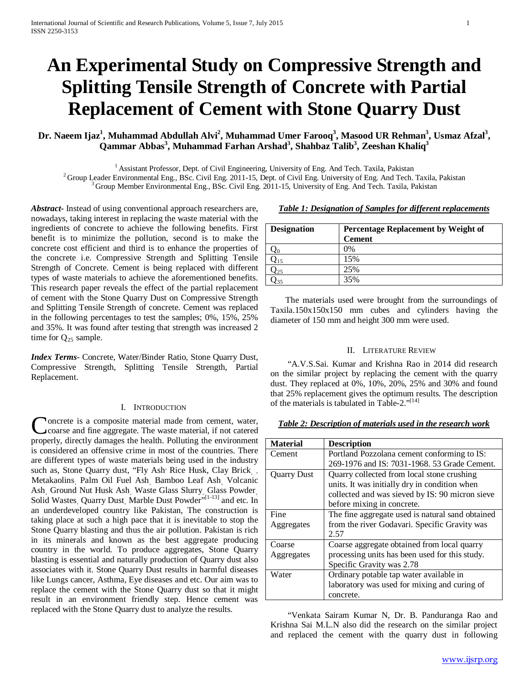# **An Experimental Study on Compressive Strength and Splitting Tensile Strength of Concrete with Partial Replacement of Cement with Stone Quarry Dust**

# Dr. Naeem Ijaz<sup>1</sup>, Muhammad Abdullah Alvi<sup>2</sup>, Muhammad Umer Farooq<sup>3</sup>, Masood UR Rehman<sup>3</sup>, Usmaz Afzal<sup>3</sup>, **Qammar Abbas 3 , Muhammad Farhan Arshad3 , Shahbaz Talib3 , Zeeshan Khaliq3**

<sup>1</sup> Assistant Professor, Dept. of Civil Engineering, University of Eng. And Tech. Taxila, Pakistan<br><sup>2</sup> Group Leader Environmental Eng., BSc. Civil Eng. 2011-15, Dept. of Civil Eng. University of Eng. And Tech. Taxila, Pak

*Abstract***-** Instead of using conventional approach researchers are, nowadays, taking interest in replacing the waste material with the ingredients of concrete to achieve the following benefits. First benefit is to minimize the pollution, second is to make the concrete cost efficient and third is to enhance the properties of the concrete i.e. Compressive Strength and Splitting Tensile Strength of Concrete. Cement is being replaced with different types of waste materials to achieve the aforementioned benefits. This research paper reveals the effect of the partial replacement of cement with the Stone Quarry Dust on Compressive Strength and Splitting Tensile Strength of concrete. Cement was replaced in the following percentages to test the samples; 0%, 15%, 25% and 35%. It was found after testing that strength was increased 2 time for  $Q_{25}$  sample.

*Index Terms*- Concrete, Water/Binder Ratio, Stone Quarry Dust, Compressive Strength, Splitting Tensile Strength, Partial Replacement.

#### I. INTRODUCTION

oncrete is a composite material made from cement, water, coarse and fine aggregate. The waste material, if not catered Concrete is a composite material made from cement, water, coarse and fine aggregate. The waste material, if not catered properly, directly damages the health. Polluting the environment is considered an offensive crime in most of the countries. There are different types of waste materials being used in the industry such as, Stone Quarry dust, "Fly Ash' Rice Husk, Clay Brick, ... Metakaolins, Palm Oil Fuel Ash, Bamboo Leaf Ash, Volcanic Ash, Ground Nut Husk Ash, Waste Glass Slurry, Glass Powder Solid Wastes<sub>, Quarry Dust, Marble Dust Powder"[1-13]</sub> and etc. In an underdeveloped country like Pakistan, The construction is taking place at such a high pace that it is inevitable to stop the Stone Quarry blasting and thus the air pollution. Pakistan is rich in its minerals and known as the best aggregate producing country in the world. To produce aggregates, Stone Quarry blasting is essential and naturally production of Quarry dust also associates with it. Stone Quarry Dust results in harmful diseases like Lungs cancer, Asthma, Eye diseases and etc. Our aim was to replace the cement with the Stone Quarry dust so that it might result in an environment friendly step. Hence cement was replaced with the Stone Quarry dust to analyze the results.

*Table 1: Designation of Samples for different replacements*

**Designation Percentage Replacement by Weight of** 

|          | <b>Cement</b>                                            |
|----------|----------------------------------------------------------|
|          | $0\%$                                                    |
| $Q_{15}$ | 15%                                                      |
| $Q_{25}$ | 25%                                                      |
| $Q_{35}$ | 35%                                                      |
|          | The meterials used were brought from the surroundings of |

 The materials used were brought from the surroundings of Taxila.150x150x150 mm cubes and cylinders having the diameter of 150 mm and height 300 mm were used.

### II. LITERATURE REVIEW

 "A.V.S.Sai. Kumar and Krishna Rao in 2014 did research on the similar project by replacing the cement with the quarry dust. They replaced at 0%, 10%, 20%, 25% and 30% and found that 25% replacement gives the optimum results. The description of the materials is tabulated in Table-2."[14]

### *Table 2: Description of materials used in the research work*

| <b>Material</b> | <b>Description</b>                               |  |  |  |
|-----------------|--------------------------------------------------|--|--|--|
| Cement          | Portland Pozzolana cement conforming to IS:      |  |  |  |
|                 | 269-1976 and IS: 7031-1968. 53 Grade Cement.     |  |  |  |
| Quarry Dust     | Quarry collected from local stone crushing       |  |  |  |
|                 | units. It was initially dry in condition when    |  |  |  |
|                 | collected and was sieved by IS: 90 micron sieve  |  |  |  |
|                 | before mixing in concrete.                       |  |  |  |
| Fine            | The fine aggregate used is natural sand obtained |  |  |  |
| Aggregates      | from the river Godavari. Specific Gravity was    |  |  |  |
|                 | 2.57                                             |  |  |  |
| Coarse          | Coarse aggregate obtained from local quarry      |  |  |  |
| Aggregates      | processing units has been used for this study.   |  |  |  |
|                 | Specific Gravity was 2.78                        |  |  |  |
| Water           | Ordinary potable tap water available in          |  |  |  |
|                 | laboratory was used for mixing and curing of     |  |  |  |
|                 | concrete.                                        |  |  |  |

 "Venkata Sairam Kumar N, Dr. B. Panduranga Rao and Krishna Sai M.L.N also did the research on the similar project and replaced the cement with the quarry dust in following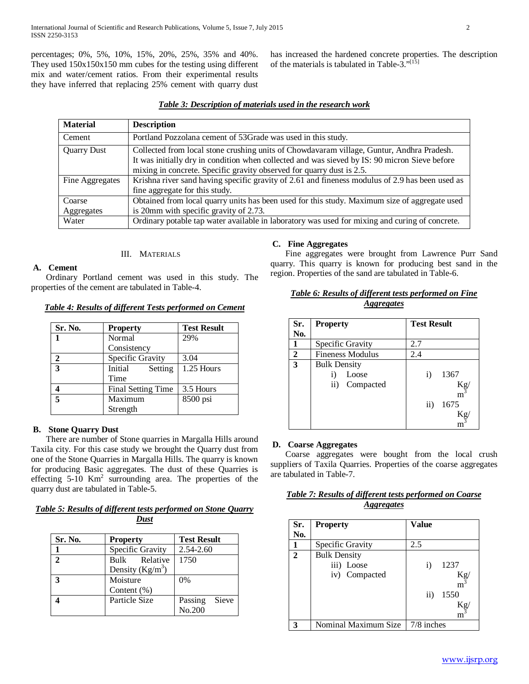percentages; 0%, 5%, 10%, 15%, 20%, 25%, 35% and 40%. They used 150x150x150 mm cubes for the testing using different mix and water/cement ratios. From their experimental results they have inferred that replacing 25% cement with quarry dust

has increased the hardened concrete properties. The description of the materials is tabulated in Table-3."[15]

| <b>Material</b>    | <b>Description</b>                                                                              |
|--------------------|-------------------------------------------------------------------------------------------------|
| Cement             | Portland Pozzolana cement of 53Grade was used in this study.                                    |
| <b>Quarry Dust</b> | Collected from local stone crushing units of Chowdavaram village, Guntur, Andhra Pradesh.       |
|                    | It was initially dry in condition when collected and was sieved by IS: 90 micron Sieve before   |
|                    | mixing in concrete. Specific gravity observed for quarry dust is 2.5.                           |
| Fine Aggregates    | Krishna river sand having specific gravity of 2.61 and fineness modulus of 2.9 has been used as |
|                    | fine aggregate for this study.                                                                  |
| Coarse             | Obtained from local quarry units has been used for this study. Maximum size of aggregate used   |
| Aggregates         | is 20mm with specific gravity of 2.73.                                                          |
| Water              | Ordinary potable tap water available in laboratory was used for mixing and curing of concrete.  |

## III. MATERIALS

## **A. Cement**

 Ordinary Portland cement was used in this study. The properties of the cement are tabulated in Table-4.

## *Table 4: Results of different Tests performed on Cement*

| Sr. No.      | <b>Property</b>           | <b>Test Result</b> |
|--------------|---------------------------|--------------------|
|              | Normal                    | 29%                |
|              | Consistency               |                    |
| $\mathbf{2}$ | Specific Gravity          | 3.04               |
| 3            | Initial<br>Setting        | 1.25 Hours         |
|              | Time                      |                    |
|              | <b>Final Setting Time</b> | 3.5 Hours          |
| 5            | Maximum                   | 8500 psi           |
|              | Strength                  |                    |

## **B. Stone Quarry Dust**

 There are number of Stone quarries in Margalla Hills around Taxila city. For this case study we brought the Quarry dust from one of the Stone Quarries in Margalla Hills. The quarry is known for producing Basic aggregates. The dust of these Quarries is effecting  $5-10$  Km<sup>2</sup> surrounding area. The properties of the quarry dust are tabulated in Table-5.

## *Table 5: Results of different tests performed on Stone Quarry Dust*

| Sr. No.                     | <b>Property</b>                     | <b>Test Result</b>         |  |  |
|-----------------------------|-------------------------------------|----------------------------|--|--|
|                             | Specific Gravity                    | $2.54 - 2.60$              |  |  |
| $\mathcal{D}_{\mathcal{L}}$ | Bulk Relative<br>Density $(Kg/m^3)$ | 1750                       |  |  |
|                             | Moisture<br>Content $(\%)$          | $0\%$                      |  |  |
|                             | Particle Size                       | Sieve<br>Passing<br>No.200 |  |  |

## **C. Fine Aggregates**

 Fine aggregates were brought from Lawrence Purr Sand quarry. This quarry is known for producing best sand in the region. Properties of the sand are tabulated in Table-6.

| Table 6: Results of different tests performed on Fine |
|-------------------------------------------------------|
| <i>Aggregates</i>                                     |

| Sr. | <b>Property</b>                                              | <b>Test Result</b>                                                       |
|-----|--------------------------------------------------------------|--------------------------------------------------------------------------|
| No. |                                                              |                                                                          |
|     | Specific Gravity                                             | 2.7                                                                      |
| 2   | <b>Fineness Modulus</b>                                      | 2.4                                                                      |
| 3   | <b>Bulk Density</b><br>Loose<br>i)<br>Compacted<br>$\rm ii)$ | 1367<br>$\rm i)$<br>$K_g$ <sub>m</sub> <sup>3</sup><br>1675<br>$\rm ii)$ |

#### **D. Coarse Aggregates**

 Coarse aggregates were bought from the local crush suppliers of Taxila Quarries. Properties of the coarse aggregates are tabulated in Table-7.

## *Table 7: Results of different tests performed on Coarse Aggregates*

| Sr.<br>No.  | <b>Property</b>                                    | Value                                                                                 |
|-------------|----------------------------------------------------|---------------------------------------------------------------------------------------|
|             | Specific Gravity                                   | 2.5                                                                                   |
| $\mathbf 2$ | <b>Bulk Density</b><br>iii) Loose<br>iv) Compacted | 1237<br>$\bf{ii)}$<br>$K_g$ <sub>m</sub> <sup>3</sup><br>1550<br>$\rm ii)$<br>Κg<br>m |
|             | Nominal Maximum Size                               | $7/8$ inches                                                                          |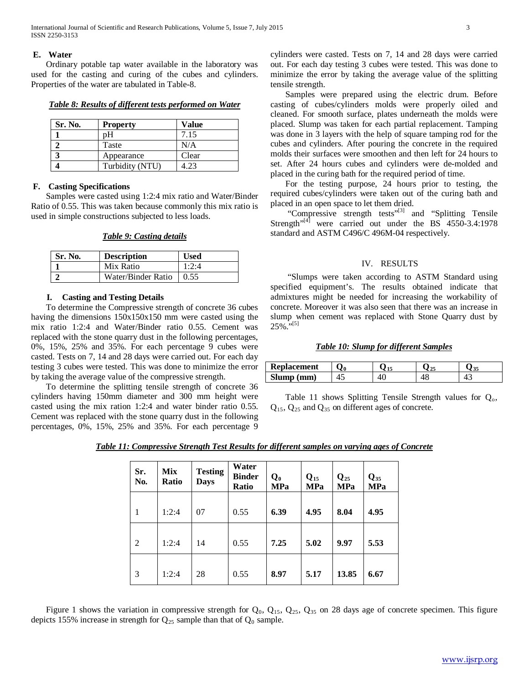International Journal of Scientific and Research Publications, Volume 5, Issue 7, July 2015 3 ISSN 2250-3153

#### **E. Water**

 Ordinary potable tap water available in the laboratory was used for the casting and curing of the cubes and cylinders. Properties of the water are tabulated in Table-8.

*Table 8: Results of different tests performed on Water*

| Sr. No. | <b>Property</b> | Value |
|---------|-----------------|-------|
|         | pН              | 7.15  |
|         | Taste           | N/A   |
|         | Appearance      | Clear |
|         | Turbidity (NTU) | 4.23  |

#### **F. Casting Specifications**

 Samples were casted using 1:2:4 mix ratio and Water/Binder Ratio of 0.55. This was taken because commonly this mix ratio is used in simple constructions subjected to less loads.

*Table 9: Casting details*

| Sr. No. | <b>Description</b> | <b>Used</b> |
|---------|--------------------|-------------|
|         | Mix Ratio          | 1:2:4       |
|         | Water/Binder Ratio | 0.55        |

#### **I. Casting and Testing Details**

 To determine the Compressive strength of concrete 36 cubes having the dimensions 150x150x150 mm were casted using the mix ratio 1:2:4 and Water/Binder ratio 0.55. Cement was replaced with the stone quarry dust in the following percentages, 0%, 15%, 25% and 35%. For each percentage 9 cubes were casted. Tests on 7, 14 and 28 days were carried out. For each day testing 3 cubes were tested. This was done to minimize the error by taking the average value of the compressive strength.

 To determine the splitting tensile strength of concrete 36 cylinders having 150mm diameter and 300 mm height were casted using the mix ration 1:2:4 and water binder ratio 0.55. Cement was replaced with the stone quarry dust in the following percentages, 0%, 15%, 25% and 35%. For each percentage 9

cylinders were casted. Tests on 7, 14 and 28 days were carried out. For each day testing 3 cubes were tested. This was done to minimize the error by taking the average value of the splitting tensile strength.

 Samples were prepared using the electric drum. Before casting of cubes/cylinders molds were properly oiled and cleaned. For smooth surface, plates underneath the molds were placed. Slump was taken for each partial replacement. Tamping was done in 3 layers with the help of square tamping rod for the cubes and cylinders. After pouring the concrete in the required molds their surfaces were smoothen and then left for 24 hours to set. After 24 hours cubes and cylinders were de-molded and placed in the curing bath for the required period of time.

 For the testing purpose, 24 hours prior to testing, the required cubes/cylinders were taken out of the curing bath and placed in an open space to let them dried.

"Compressive strength tests"<sup>[3]</sup> and "Splitting Tensile Strength<sup>"[4]</sup> were carried out under the BS  $4550-3.4:1978$ standard and ASTM C496/C 496M-04 respectively.

## IV. RESULTS

 "Slumps were taken according to ASTM Standard using specified equipment's. The results obtained indicate that admixtures might be needed for increasing the workability of concrete. Moreover it was also seen that there was an increase in slump when cement was replaced with Stone Quarry dust by  $25\%$ ."<sup>[5]</sup>

## *Table 10: Slump for different Samples*

| <b>Replacement</b> | ∕0 |    |     |
|--------------------|----|----|-----|
| Slump (mm)         | т. | 40 | т., |

Table 11 shows Splitting Tensile Strength values for  $Q_0$ , Q15, Q25 and Q35 on different ages of concrete.

| Table 11: Compressive Strength Test Results for different samples on varying ages of Concrete |  |  |
|-----------------------------------------------------------------------------------------------|--|--|
|-----------------------------------------------------------------------------------------------|--|--|

| Sr.<br>No.     | <b>Mix</b><br><b>Ratio</b> | <b>Testing</b><br><b>Days</b> | Water<br><b>Binder</b><br><b>Ratio</b> | $Q_0$<br><b>MPa</b> | $Q_{15}$<br><b>MPa</b> | $\mathbf{Q}_{25}$<br><b>MPa</b> | $Q_{35}$<br><b>MPa</b> |
|----------------|----------------------------|-------------------------------|----------------------------------------|---------------------|------------------------|---------------------------------|------------------------|
| 1              | 1:2:4                      | 07                            | 0.55                                   | 6.39                | 4.95                   | 8.04                            | 4.95                   |
| $\overline{2}$ | 1:2:4                      | 14                            | 0.55                                   | 7.25                | 5.02                   | 9.97                            | 5.53                   |
| 3              | 1:2:4                      | 28                            | 0.55                                   | 8.97                | 5.17                   | 13.85                           | 6.67                   |

Figure 1 shows the variation in compressive strength for  $Q_0$ ,  $Q_{15}$ ,  $Q_{25}$ ,  $Q_{35}$  on 28 days age of concrete specimen. This figure depicts 155% increase in strength for  $Q_{25}$  sample than that of  $Q_0$  sample.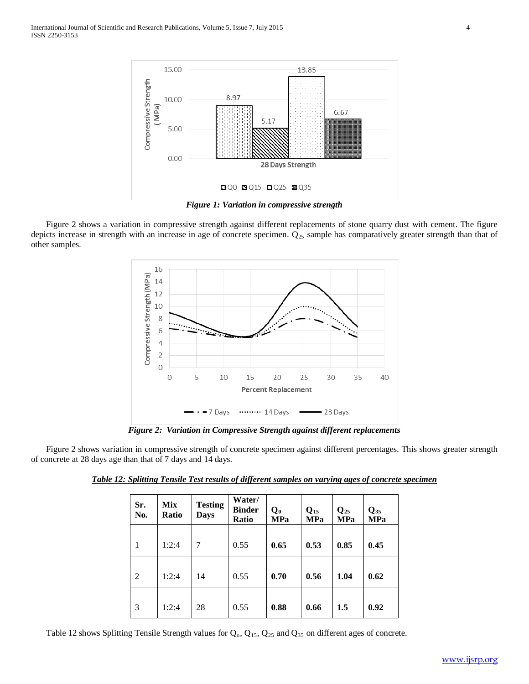

*Figure 1: Variation in compressive strength*

 Figure 2 shows a variation in compressive strength against different replacements of stone quarry dust with cement. The figure depicts increase in strength with an increase in age of concrete specimen.  $Q_{25}$  sample has comparatively greater strength than that of other samples.



*Figure 2: Variation in Compressive Strength against different replacements*

 Figure 2 shows variation in compressive strength of concrete specimen against different percentages. This shows greater strength of concrete at 28 days age than that of 7 days and 14 days.

| Sr.<br>No. | <b>Mix</b><br>Ratio | <b>Testing</b><br><b>Days</b> | Water/<br><b>Binder</b><br><b>Ratio</b> | $\mathbf{Q_0}$<br><b>MPa</b> | $Q_{15}$<br><b>MPa</b> | $\mathbf{Q}_{25}$<br><b>MPa</b> | $\mathbf{Q}_{35}$<br><b>MPa</b> |
|------------|---------------------|-------------------------------|-----------------------------------------|------------------------------|------------------------|---------------------------------|---------------------------------|
| 1          | 1:2:4               | 7                             | 0.55                                    | 0.65                         | 0.53                   | 0.85                            | 0.45                            |
| 2          | 1:2:4               | 14                            | 0.55                                    | 0.70                         | 0.56                   | 1.04                            | 0.62                            |
| 3          | 1:2:4               | 28                            | 0.55                                    | 0.88                         | 0.66                   | 1.5                             | 0.92                            |

*Table 12: Splitting Tensile Test results of different samples on varying ages of concrete specimen*

Table 12 shows Splitting Tensile Strength values for  $Q_0$ ,  $Q_{15}$ ,  $Q_{25}$  and  $Q_{35}$  on different ages of concrete.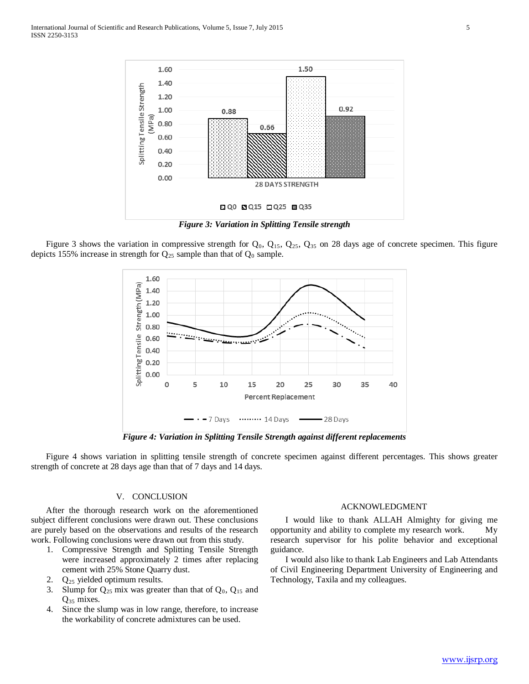

*Figure 3: Variation in Splitting Tensile strength*

Figure 3 shows the variation in compressive strength for  $Q_0$ ,  $Q_{15}$ ,  $Q_{25}$ ,  $Q_{35}$  on 28 days age of concrete specimen. This figure depicts 155% increase in strength for  $Q_{25}$  sample than that of  $Q_0$  sample.



*Figure 4: Variation in Splitting Tensile Strength against different replacements*

 Figure 4 shows variation in splitting tensile strength of concrete specimen against different percentages. This shows greater strength of concrete at 28 days age than that of 7 days and 14 days.

#### V. CONCLUSION

 After the thorough research work on the aforementioned subject different conclusions were drawn out. These conclusions are purely based on the observations and results of the research work. Following conclusions were drawn out from this study.

- 1. Compressive Strength and Splitting Tensile Strength were increased approximately 2 times after replacing cement with 25% Stone Quarry dust.
- 2. Q25 yielded optimum results.
- 3. Slump for  $Q_{25}$  mix was greater than that of  $Q_0$ ,  $Q_{15}$  and  $Q_{35}$  mixes.
- 4. Since the slump was in low range, therefore, to increase the workability of concrete admixtures can be used.

#### ACKNOWLEDGMENT

 I would like to thank ALLAH Almighty for giving me opportunity and ability to complete my research work. My research supervisor for his polite behavior and exceptional guidance.

 I would also like to thank Lab Engineers and Lab Attendants of Civil Engineering Department University of Engineering and Technology, Taxila and my colleagues.